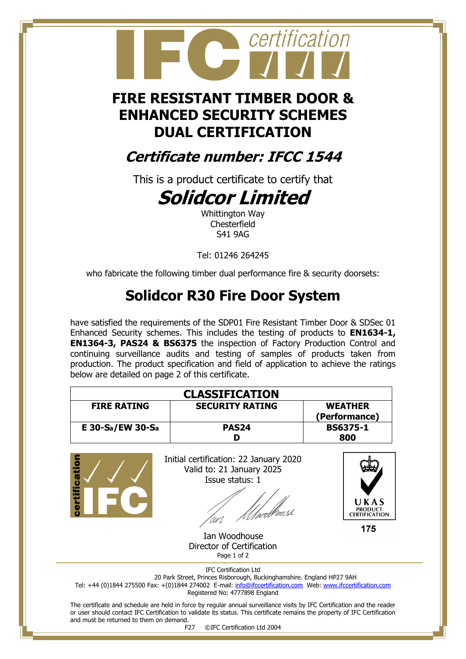# certification

### **FIRE RESISTANT TIMBER DOOR & ENHANCED SECURITY SCHEMES DUAL CERTIFICATION**

## **Certificate number: IFCC 1544**

This is a product certificate to certify that

# **Solidcor Limited**

Whittington Way Chesterfield S41 9AG

Tel: 01246 264245

who fabricate the following timber dual performance fire & security doorsets:

# **Solidcor R30 Fire Door System**

have satisfied the requirements of the SDP01 Fire Resistant Timber Door & SDSec 01 Enhanced Security schemes. This includes the testing of products to **EN1634-1, EN1364-3, PAS24 & BS6375** the inspection of Factory Production Control and continuing surveillance audits and testing of samples of products taken from production. The product specification and field of application to achieve the ratings below are detailed on page 2 of this certificate.

| <b>CLASSIFICATION</b> |                        |                 |  |
|-----------------------|------------------------|-----------------|--|
| <b>FIRE RATING</b>    | <b>SECURITY RATING</b> | <b>WEATHER</b>  |  |
|                       |                        | (Performance)   |  |
| E 30-Sa/EW 30-Sa      | PAS <sub>24</sub>      | <b>BS6375-1</b> |  |
|                       |                        | 800             |  |



The certificate and schedule are held in force by regular annual surveillance visits by IFC Certification and the reader or user should contact IFC Certification to validate its status. This certificate remains the property of IFC Certification and must be returned to them on demand.<br>F27

©IFC Certification Ltd 2004